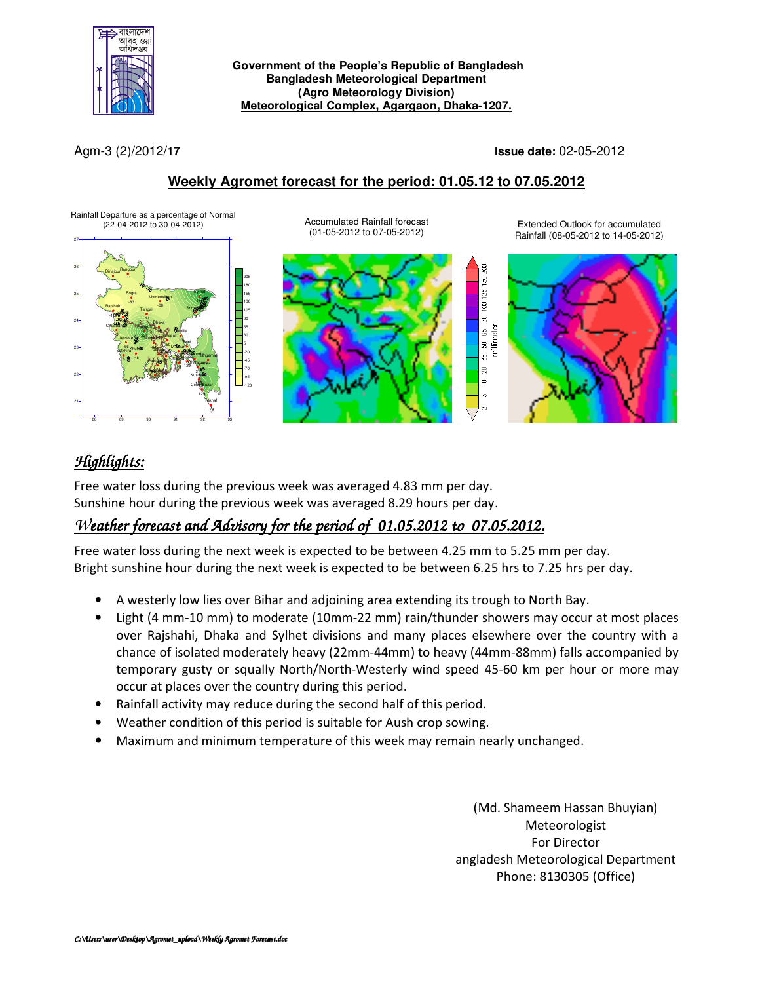

#### **Government of the People's Republic of Bangladesh Bangladesh Meteorological Department (Agro Meteorology Division) Meteorological Complex, Agargaon, Dhaka-1207.**

Agm-3 (2)/2012/**17 Issue date:** 02-05-2012

### **Weekly Agromet forecast for the period: 01.05.12 to 07.05.2012**

Rainfall Departure as a percentage of Normal<br>(22-04-2012 to 30-04-2012)



Accumulated Rainfall forecast (01-05-2012 to 07-05-2012)



Extended Outlook for accumulated Rainfall (08-05-2012 to 14-05-2012)



# *Highlights:*

Free water loss during the previous week was averaged 4.83 mm per day. Sunshine hour during the previous week was averaged 8.29 hours per day.

# *Weather forecast and Advisory for the period of 01.05.2012 to 07.05.2012.*

Free water loss during the next week is expected to be between 4.25 mm to 5.25 mm per day. Bright sunshine hour during the next week is expected to be between 6.25 hrs to 7.25 hrs per day.

- A westerly low lies over Bihar and adjoining area extending its trough to North Bay.
- Light (4 mm-10 mm) to moderate (10mm-22 mm) rain/thunder showers may occur at most places over Rajshahi, Dhaka and Sylhet divisions and many places elsewhere over the country with a chance of isolated moderately heavy (22mm-44mm) to heavy (44mm-88mm) falls accompanied by temporary gusty or squally North/North-Westerly wind speed 45-60 km per hour or more may occur at places over the country during this period.
- Rainfall activity may reduce during the second half of this period.
- Weather condition of this period is suitable for Aush crop sowing.
- Maximum and minimum temperature of this week may remain nearly unchanged.

(Md. Shameem Hassan Bhuyian) Meteorologist For Director angladesh Meteorological Department Phone: 8130305 (Office)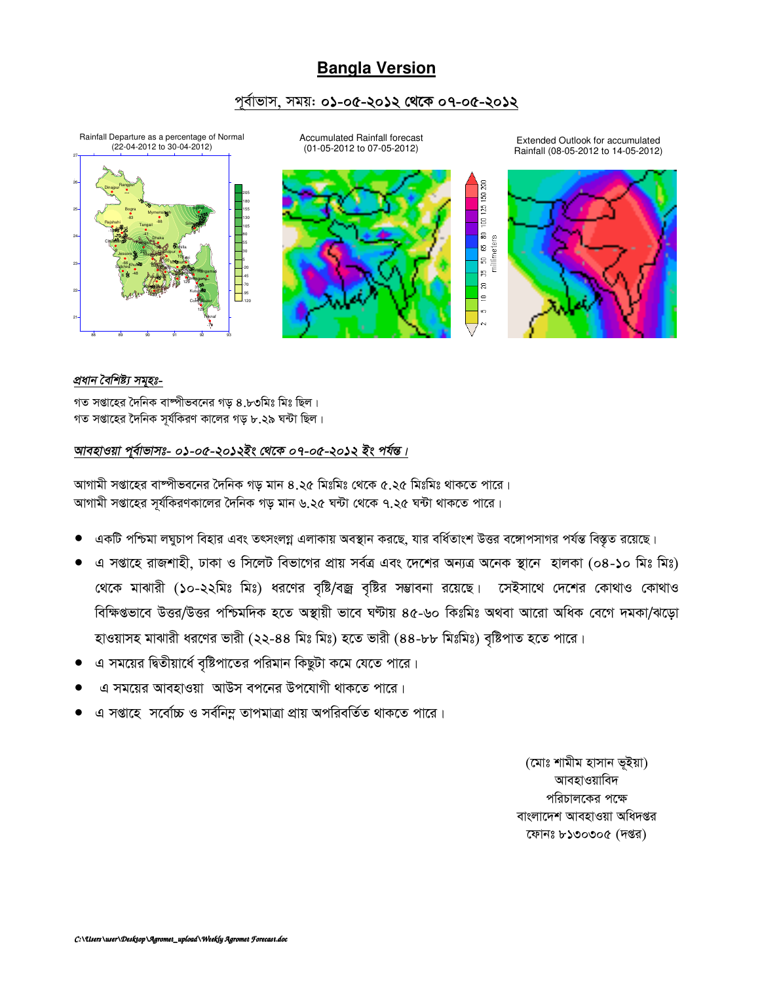## **Bangla Version**

### পূৰ্বাভাস, সময়: **০১-০৫-২০১২ থেকে ০৭-০৫-২০১২**



### *প্ৰধান বৈশিষ্ট্য সমৃহঃ-*

গত সপ্তাহের দৈনিক বাম্পীভবনের গড় ৪.৮৩মিঃ মিঃ ছিল। গত সপ্তাহের দৈনিক সূর্যকিরণ কালের গড় ৮.২৯ ঘন্টা ছিল।

### *আবহাওয়া প্*ৰ্বাভাসঃ- ০১-০৫-২০১২ইং থেকে ০৭-০৫-২০১২ ইং পৰ্যন্ত।

আগামী সপ্তাহের বাষ্পীভবনের দৈনিক গড় মান ৪.২৫ মিঃমিঃ থেকে ৫.২৫ মিঃমিঃ থাকতে পারে। আগামী সপ্তাহের সূর্যকিরণকালের দৈনিক গড় মান ৬.২৫ ঘন্টা থেকে ৭.২৫ ঘন্টা থাকতে পারে।

- একটি পশ্চিমা লঘুচাপ বিহার এবং তৎসংলগ্ন এলাকায় অবস্থান করছে, যার বর্ধিতাংশ উত্তর বঙ্গোপসাগর পর্যন্ত বিস্তৃত রয়েছে।
- এ সপ্তাহে রাজশাহী, ঢাকা ও সিলেট বিভাগের প্রায় সর্বত্র এবং দেশের অন্যত্র অনেক স্থানে হালকা (০৪-১০ মিঃ মিঃ) খেকে মাঝারী (১০-২২মিঃ মিঃ) ধরণের বৃষ্টি/বজ্র বৃষ্টির সম্ভাবনা রয়েছে। সেইসাথে দেশের কোথাও কোথাও বিক্ষিপ্তভাবে উত্তর/উত্তর পশ্চিমদিক হতে অস্থায়ী ভাবে ঘণ্টায় ৪৫-৬০ কিঃমিঃ অথবা আরো অধিক বেগে দমকা/ঝড়ো হাওয়াসহ মাঝারী ধরণের ভারী (২২-৪৪ মিঃ মিঃ) হতে ভারী (৪৪-৮৮ মিঃমিঃ) বৃষ্টিপাত হতে পারে।
- এ সময়ের দ্বিতীয়ার্ধে বষ্টিপাতের পরিমান কিছটা কমে যেতে পারে।
- এ সময়ের আবহাওয়া আউস বপনের উপযোগী থাকতে পারে।
- এ সপ্তাহে সর্বোচ্চ ও সর্বনিম্ন তাপমাত্রা প্রায় অপরিবর্তিত থাকতে পারে।

(মোঃ শামীম হাসান ভূইয়া) আবহাওয়াবিদ পরিচালকের পক্ষে বাংলাদেশ আবহাওয়া অধিদপ্তর কোনঃ ৮১৩০৩০৫ (দপ্তর)